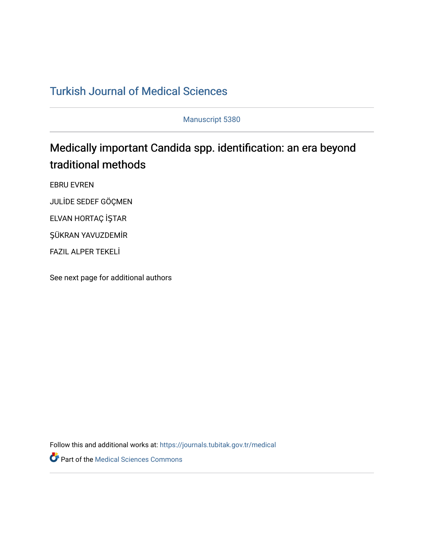# [Turkish Journal of Medical Sciences](https://journals.tubitak.gov.tr/medical)

Manuscript 5380

# Medically important Candida spp. identification: an era beyond traditional methods

EBRU EVREN

JULİDE SEDEF GÖÇMEN

ELVAN HORTAÇ İŞTAR

ŞÜKRAN YAVUZDEMİR

FAZIL ALPER TEKELİ

See next page for additional authors

Follow this and additional works at: [https://journals.tubitak.gov.tr/medical](https://journals.tubitak.gov.tr/medical?utm_source=journals.tubitak.gov.tr%2Fmedical%2Fvol52%2Fiss3%2F38&utm_medium=PDF&utm_campaign=PDFCoverPages) 

**Part of the Medical Sciences Commons**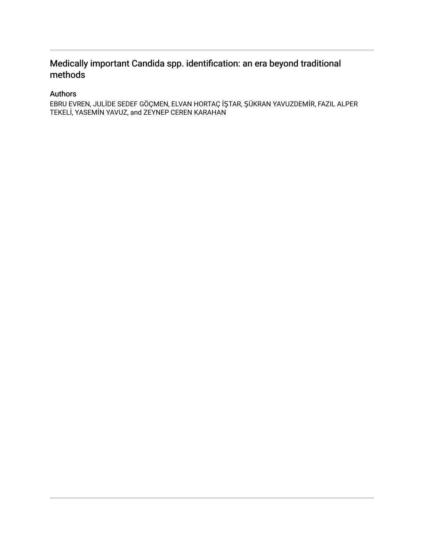## Medically important Candida spp. identification: an era beyond traditional methods

## Authors

EBRU EVREN, JULİDE SEDEF GÖÇMEN, ELVAN HORTAÇ İŞTAR, ŞÜKRAN YAVUZDEMİR, FAZIL ALPER TEKELİ, YASEMİN YAVUZ, and ZEYNEP CEREN KARAHAN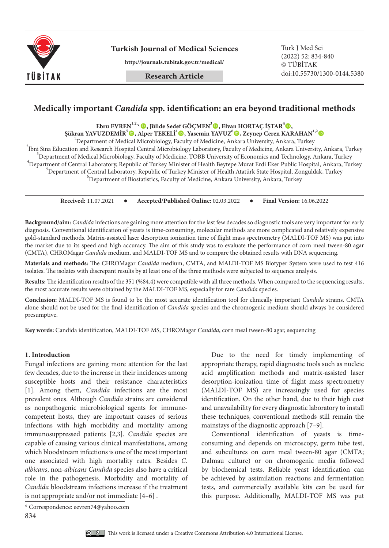

**http://journals.tubitak.gov.tr/medical/**

**Research Article**

(2022) 52: 834-840 © TÜBİTAK doi:10.55730/1300-0144.5380

### **Medically important** *Candida* **spp. identification: an era beyond traditional methods**

**Ebru EVREN1,2,\*, Jülide Sedef GÖÇMEN3 , Elvan HORTAÇ İŞTAR<sup>4</sup> ,**

**Şükran YAVUZDEMİR5 , Alper TEKELİ1 , Yasemin YAVUZ<sup>6</sup> , Zeynep Ceren KARAHAN1,2** <sup>1</sup>

<sup>1</sup>Department of Medical Microbiology, Faculty of Medicine, Ankara University, Ankara, Turkey

<sup>2</sup>Ibni Sina Education and Research Hospital Central Microbiology Laboratory, Faculty of Medicine, Ankara University, Ankara, Turkey <sup>3</sup>Department of Medical Microbiology, Faculty of Medicine, TOBB University of Economics and Technology, Ankara, Turkey  $^4$ Department of Central Laboratory, Republic of Turkey Minister of Health Beytepe Murat Erdi Eker Public Hospital, Ankara, Turkey <sup>5</sup>Department of Central Laboratory, Republic of Turkey Minister of Health Atatürk State Hospital, Zonguldak, Turkey  ${}^{6}$ Department of Biostatistics, Faculty of Medicine, Ankara University, Ankara, Turkey

**Received:** 11.07.2021 **Accepted/Published Online:** 02.03.2022 **Final Version:** 16.06.2022

**Background/aim:** *Candida* infections are gaining more attention for the last few decades so diagnostic tools are very important for early diagnosis. Conventional identification of yeasts is time-consuming, molecular methods are more complicated and relatively expensive gold-standard methods. Matrix-assisted laser desorption ionization time of flight mass spectrometry (MALDI-TOF MS) was put into the market due to its speed and high accuracy. The aim of this study was to evaluate the performance of corn meal tween-80 agar (CMTA), CHROMagar *Candida* medium, and MALDI-TOF MS and to compare the obtained results with DNA sequencing.

**Materials and methods:** The CHROMagar *Candida* medium, CMTA, and MALDI-TOF MS Biotyper System were used to test 416 isolates. The isolates with discrepant results by at least one of the three methods were subjected to sequence analysis.

**Results:** The identification results of the 351 (%84.4) were compatible with all three methods. When compared to the sequencing results, the most accurate results were obtained by the MALDI-TOF MS, especially for rare *Candida* species.

**Conclusion:** MALDI-TOF MS is found to be the most accurate identification tool for clinically important *Candida* strains. CMTA alone should not be used for the final identification of *Candida* species and the chromogenic medium should always be considered presumptive.

**Key words:** Candida identification, MALDI-TOF MS, CHROMagar *Candida*, corn meal tween-80 agar, sequencing

#### **1. Introduction**

Fungal infections are gaining more attention for the last few decades, due to the increase in their incidences among susceptible hosts and their resistance characteristics [1]. Among them, *Candida* infections are the most prevalent ones. Although *Candida* strains are considered as nonpathogenic microbiological agents for immunecompetent hosts, they are important causes of serious infections with high morbidity and mortality among immunosuppressed patients [2,3]. *Candida* species are capable of causing various clinical manifestations, among which bloodstream infections is one of the most important one associated with high mortality rates. Besides *C. albicans*, non-*albicans Candida* species also have a critical role in the pathogenesis. Morbidity and mortality of *Candida* bloodstream infections increase if the treatment is not appropriate and/or not immediate [4–6] .

Due to the need for timely implementing of appropriate therapy, rapid diagnostic tools such as nucleic acid amplification methods and matrix-assisted laser desorption-ionization time of flight mass spectrometry (MALDI-TOF MS) are increasingly used for species identification. On the other hand, due to their high cost and unavailability for every diagnostic laboratory to install these techniques, conventional methods still remain the mainstays of the diagnostic approach [7–9].

Conventional identification of yeasts is timeconsuming and depends on microscopy, germ tube test, and subcultures on corn meal tween-80 agar (CMTA; Dalmau culture) or on chromogenic media followed by biochemical tests. Reliable yeast identification can be achieved by assimilation reactions and fermentation tests, and commercially available kits can be used for this purpose. Additionally, MALDI-TOF MS was put



<sup>\*</sup> Correspondence: eevren74@yahoo.com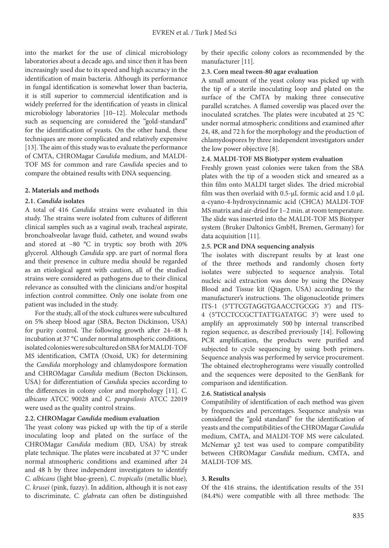into the market for the use of clinical microbiology laboratories about a decade ago, and since then it has been increasingly used due to its speed and high accuracy in the identification of main bacteria. Although its performance in fungal identification is somewhat lower than bacteria, it is still superior to commercial identification and is widely preferred for the identification of yeasts in clinical microbiology laboratories [10–12]. Molecular methods such as sequencing are considered the "gold-standard" for the identification of yeasts. On the other hand, these techniques are more complicated and relatively expensive [13]. The aim of this study was to evaluate the performance of CMTA, CHROMagar *Candida* medium, and MALDI-TOF MS for common and rare *Candida* species and to compare the obtained results with DNA sequencing.

#### **2. Materials and methods**

#### **2.1.** *Candida* **isolates**

A total of 416 *Candida* strains were evaluated in this study. The strains were isolated from cultures of different clinical samples such as a vaginal swab, tracheal aspirate, bronchoalveolar lavage fluid, catheter, and wound swabs and stored at –80 °C in tryptic soy broth with 20% glycerol. Although *Candida* spp. are part of normal flora and their presence in culture media should be regarded as an etiological agent with caution, all of the studied strains were considered as pathogens due to their clinical relevance as consulted with the clinicians and/or hospital infection control committee. Only one isolate from one patient was included in the study.

For the study, all of the stock cultures were subcultured on 5% sheep blood agar (SBA, Becton Dickinson, USA) for purity control. The following growth after 24–48 h incubation at 37 °C under normal atmospheric conditions, isolated colonies were subcultured on SBA for MALDI-TOF MS identification, CMTA (Oxoid, UK) for determining the *Candida* morphology and chlamydospore formation and CHROMagar *Candida* medium (Becton Dickinson, USA) for differentiation of *Candida* species according to the differences in colony color and morphology [11]. *C. albicans* ATCC 90028 and *C. parapsilosis* ATCC 22019 were used as the quality control strains.

#### **2.2. CHROMagar** *Candida* **medium evaluation**

The yeast colony was picked up with the tip of a sterile inoculating loop and plated on the surface of the CHROMagar *Candida* medium (BD, USA) by streak plate technique. The plates were incubated at 37 °C under normal atmospheric conditions and examined after 24 and 48 h by three independent investigators to identify *C. albicans* (light blue‐green)*, C. tropicalis* (metallic blue)*, C. krusei* (pink, fuzzy). In addition, although it is not easy to discriminate, *C. glabrata* can often be distinguished by their specific colony colors as recommended by the manufacturer [11].

#### **2.3. Corn meal tween-80 agar evaluation**

A small amount of the yeast colony was picked up with the tip of a sterile inoculating loop and plated on the surface of the CMTA by making three consecutive parallel scratches. A flamed coverslip was placed over the inoculated scratches. The plates were incubated at 25 °C under normal atmospheric conditions and examined after 24, 48, and 72 h for the morphology and the production of chlamydospores by three independent investigators under the low power objective [8].

#### **2.4. MALDI-TOF MS Biotyper system evaluation**

Freshly grown yeast colonies were taken from the SBA plates with the tip of a wooden stick and smeared as a thin film onto MALDI target slides. The dried microbial film was then overlaid with 0.5-μL formic acid and 1.0 μL α-cyano-4-hydroxycinnamic acid (CHCA) MALDI-TOF MS matrix and air-dried for 1–2 min. at room temperature. The slide was inserted into the MALDI-TOF MS Biotyper system (Bruker Daltonics GmbH, Bremen, Germany) for data acquisition [11].

#### **2.5. PCR and DNA sequencing analysis**

The isolates with discrepant results by at least one of the three methods and randomly chosen forty isolates were subjected to sequence analysis. Total nucleic acid extraction was done by using the DNeasy Blood and Tissue kit (Qiagen, USA) according to the manufacturer's instructions. The oligonucleotide primers ITS-1 (5′TTCGTAGGTGAACCTGCGG 3′) and ITS-4 (5′TCCTCCGCTTATTGATATGC 3′) were used to amplify an approximately 500 bp internal transcribed region sequence, as described previously [14]. Following PCR amplification, the products were purified and subjected to cycle sequencing by using both primers. Sequence analysis was performed by service procurement. The obtained electropherograms were visually controlled and the sequences were deposited to the GenBank for comparison and identification.

#### **2.6. Statistical analysis**

Compatibility of identification of each method was given by frequencies and percentages. Sequence analysis was considered the "gold standard" for the identification of yeasts and the compatibilities of the CHROMagar *Candida* medium, CMTA, and MALDI-TOF MS were calculated. McNemar χ2 test was used to compare compatibility between CHROMagar *Candida* medium, CMTA, and MALDI-TOF MS.

#### **3. Results**

Of the 416 strains, the identification results of the 351 (84.4%) were compatible with all three methods: The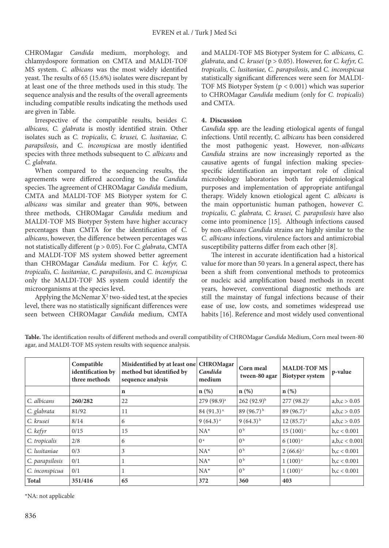CHROMagar *Candida* medium, morphology, and chlamydospore formation on CMTA and MALDI-TOF MS system. *C. albicans* was the most widely identified yeast. The results of 65 (15.6%) isolates were discrepant by at least one of the three methods used in this study. The sequence analysis and the results of the overall agreements including compatible results indicating the methods used are given in Table.

Irrespective of the compatible results, besides *C. albicans, C. glabrata* is mostly identified strain. Other isolates such as *C. tropicalis*, *C. krusei, C. lusitaniae, C. parapsilosis*, and *C. inconspicua* are mostly identified species with three methods subsequent to *C. albicans* and *C. glabrata*.

When compared to the sequencing results, the agreements were differed according to the *Candida* species. The agreement of CHROMagar *Candida* medium, CMTA and MALDI-TOF MS Biotyper system for *C. albicans* was similar and greater than 90%, between three methods, CHROMagar *Candida* medium and MALDI-TOF MS Biotyper System have higher accuracy percentages than CMTA for the identification of *C. albicans*, however, the difference between percentages was not statistically different (p > 0.05). For *C. glabrata*, CMTA and MALDI-TOF MS system showed better agreement than CHROMagar *Candida* medium. For *C. kefyr, C. tropicalis, C. lusitaniae*, *C. parapsilosis*, and *C. inconspicua* only the MALDI-TOF MS system could identify the microorganisms at the species level.

Applying the McNemar  $X^2$  two-sided test, at the species level, there was no statistically significant differences were seen between CHROMagar *Candida* medium, CMTA

and MALDI-TOF MS Biotyper System for *C. albicans, C. glabrata*, and *C. krusei* (p > 0.05). However, for *C. kefyr, C. tropicalis, C. lusitaniae, C. parapsilosis*, and *C. inconspicua*  statistically significant differences were seen for MALDI-TOF MS Biotyper System (p < 0.001) which was superior to CHROMagar *Candida* medium (only for *C. tropicalis*) and CMTA.

#### **4. Discussion**

*Candida* spp. are the leading etiological agents of fungal infections. Until recently, *C. albicans* has been considered the most pathogenic yeast. However, non-*albicans Candida* strains are now increasingly reported as the causative agents of fungal infection making speciesspecific identification an important role of clinical microbiology laboratories both for epidemiological purposes and implementation of appropriate antifungal therapy. Widely known etiological agent *C. albicans* is the main opportunistic human pathogen, however *C. tropicalis, C. glabrata, C. krusei, C. parapsilosis* have also come into prominence [15]. Although infections caused by non-*albicans Candida* strains are highly similar to the *C. albicans* infections, virulence factors and antimicrobial susceptibility patterns differ from each other [8].

The interest in accurate identification had a historical value for more than 50 years. In a general aspect, there has been a shift from conventional methods to proteomics or nucleic acid amplification based methods in recent years, however, conventional diagnostic methods are still the mainstay of fungal infections because of their ease of use, low costs, and sometimes widespread use habits [16]. Reference and most widely used conventional

**Table.** The identification results of different methods and overall compatibility of CHROMagar *Candida* Medium, Corn meal tween-80 agar, and MALDI-TOF MS system results with sequence analysis.

|                 | Compatible<br>identification by<br>three methods | Misidentified by at least one<br>method but identified by<br>sequence analysis | <b>CHROMagar</b><br>Candida<br>medium | Corn meal<br>tween-80 agar | <b>MALDI-TOF MS</b><br><b>Biotyper</b> system | p-value         |
|-----------------|--------------------------------------------------|--------------------------------------------------------------------------------|---------------------------------------|----------------------------|-----------------------------------------------|-----------------|
|                 |                                                  | $\mathbf n$                                                                    | $n(\%)$                               | $n$ (%)                    | $n$ (%)                                       |                 |
| C. albicans     | 260/282                                          | 22                                                                             | $279(98.9)^a$                         | $262(92.9)^{b}$            | $277(98.2)^c$                                 | a,b,c > 0.05    |
| C. glabrata     | 81/92                                            | 11                                                                             | $84(91.3)^{a}$                        | 89 $(96.7)^{b}$            | 89 $(96.7)$ <sup>c</sup>                      | a,b,c > 0.05    |
| C. krusei       | 8/14                                             | 6                                                                              | $9(64.3)^{a}$                         | $9(64.3)^{b}$              | $12(85.7)$ <sup>c</sup>                       | a,b,c > 0.05    |
| C. kefyr        | 0/15                                             | 15                                                                             | $NA^*$                                | 0 <sup>b</sup>             | $15(100)$ <sup>c</sup>                        | b, c < 0.001    |
| C. tropicalis   | 2/8                                              | 6                                                                              | 0 <sup>a</sup>                        | 0 <sup>b</sup>             | $6(100)$ <sup>c</sup>                         | a, b, c < 0.001 |
| C. lusitaniae   | 0/3                                              | 3                                                                              | $NA^*$                                | 0 <sup>b</sup>             | $2(66.6)$ <sup>c</sup>                        | b, c < 0.001    |
| C. parapsilosis | 0/1                                              |                                                                                | $NA^*$                                | 0 <sup>b</sup>             | $1(100)$ <sup>c</sup>                         | b, c < 0.001    |
| C. inconspicua  | 0/1                                              |                                                                                | $NA^*$                                | 0 <sup>b</sup>             | $1(100)^{c}$                                  | b, c < 0.001    |
| <b>Total</b>    | 351/416                                          | 65                                                                             | 372                                   | 360                        | 403                                           |                 |

\*NA: not applicable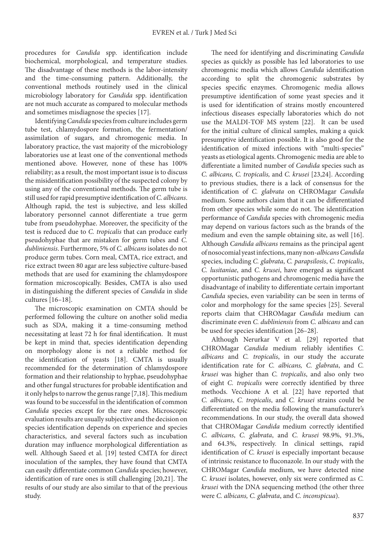procedures for *Candida* spp. identification include biochemical, morphological, and temperature studies. The disadvantage of these methods is the labor-intensity and the time-consuming pattern. Additionally, the conventional methods routinely used in the clinical microbiology laboratory for *Candida* spp. identification are not much accurate as compared to molecular methods and sometimes misdiagnose the species [17].

Identifying *Candida* species from culture includes germ tube test, chlamydospore formation, the fermentation/ assimilation of sugars, and chromogenic media. In laboratory practice, the vast majority of the microbiology laboratories use at least one of the conventional methods mentioned above. However, none of these has 100% reliability; as a result, the most important issue is to discuss the misidentification possibility of the suspected colony by using any of the conventional methods. The germ tube is still used for rapid presumptive identification of *C. albicans*. Although rapid, the test is subjective, and less skilled laboratory personnel cannot differentiate a true germ tube from pseudohyphae. Moreover, the specificity of the test is reduced due to *C. tropicalis* that can produce early pseudohyphae that are mistaken for germ tubes and *C. dubliniensis*. Furthermore, 5% of *C. albicans* isolates do not produce germ tubes. Corn meal, CMTA, rice extract, and rice extract tween 80 agar are less subjective culture-based methods that are used for examining the chlamydospore formation microscopically. Besides, CMTA is also used in distinguishing the different species of *Candida* in slide cultures [16–18].

The microscopic examination on CMTA should be performed following the culture on another solid media such as SDA, making it a time-consuming method necessitating at least 72 h for final identification. It must be kept in mind that, species identification depending on morphology alone is not a reliable method for the identification of yeasts [18]. CMTA is usually recommended for the determination of chlamydospore formation and their relationship to hyphae, pseudohyphae and other fungal structures for probable identification and it only helps to narrow the genus range [7,18]. This medium was found to be successful in the identification of common *Candida* species except for the rare ones. Microscopic evaluation results are usually subjective and the decision on species identification depends on experience and species characteristics, and several factors such as incubation duration may influence morphological differentiation as well. Although Saeed et al. [19] tested CMTA for direct inoculation of the samples, they have found that CMTA can easily differentiate common *Candida* species; however, identification of rare ones is still challenging [20,21]. The results of our study are also similar to that of the previous study.

The need for identifying and discriminating *Candida*  species as quickly as possible has led laboratories to use chromogenic media which allows *Candida* identification according to split the chromogenic substrates by species specific enzymes. Chromogenic media allows presumptive identification of some yeast species and it is used for identification of strains mostly encountered infectious diseases especially laboratories which do not use the MALDI-TOF MS system [22]. It can be used for the initial culture of clinical samples, making a quick presumptive identification possible. It is also good for the identification of mixed infections with "multi-species" yeasts as etiological agents. Chromogenic media are able to differentiate a limited number of *Candida* species such as *C. albicans, C. tropicalis,* and *C. krusei* [23,24]. According to previous studies, there is a lack of consensus for the identification of *C. glabrata* on CHROMagar *Candida* medium. Some authors claim that it can be differentiated from other species while some do not. The identification performance of *Candida* species with chromogenic media may depend on various factors such as the brands of the medium and even the sample obtaining site, as well [16]. Although *Candida albicans* remains as the principal agent of nosocomial yeast infections, many non-*albicansCandida* species, including *C. glabrata*, *C. parapsilosis*, *C. tropicalis*, *C. lusitaniae*, and *C. krusei*, have emerged as significant opportunistic pathogens and chromogenic media have the disadvantage of inability to differentiate certain important *Candida* species, even variability can be seen in terms of color and morphology for the same species [25]. Several reports claim that CHROMagar *Candida* medium can discriminate even *C. dubliniensis* from *C. albicans* and can be used for species identification [26–28].

Although Nerurkar V et al. [29] reported that CHROMagar *Candida* medium reliably identifies *C. albicans* and *C. tropicalis*, in our study the accurate identification rate for *C. albicans, C. glabrata*, and *C. krusei* was higher than *C. tropicalis*, and also only two of eight *C. tropicalis* were correctly identified by three methods. Vecchione A et al. [22] have reported that *C. albicans*, *C. tropicalis*, and *C. krusei* strains could be differentiated on the media following the manufacturer's recommendations. In our study, the overall data showed that CHROMagar *Candida* medium correctly identified *C. albicans*, *C. glabrata*, and *C. krusei* 98.9%, 91.3%, and 64.3%, respectively. In clinical settings, rapid identification of *C. krusei* is especially important because of intrinsic resistance to fluconazole. In our study with the CHROMagar *Candida* medium, we have detected nine *C. krusei* isolates, however, only six were confirmed as *C. krusei* with the DNA sequencing method (the other three were *C. albicans, C. glabrata*, and *C. inconspicua*).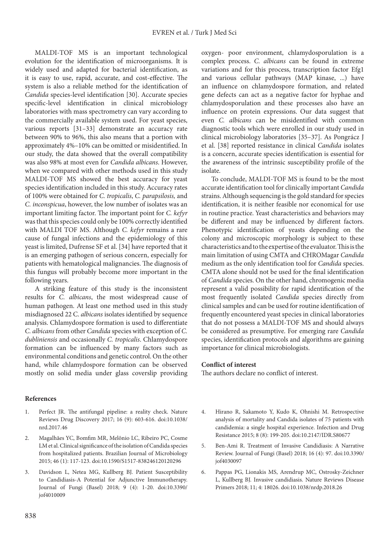MALDI-TOF MS is an important technological evolution for the identification of microorganisms. It is widely used and adapted for bacterial identification, as it is easy to use, rapid, accurate, and cost-effective. The system is also a reliable method for the identification of *Candida* species-level identification [30]. Accurate species specific-level identification in clinical microbiology laboratories with mass spectrometry can vary according to the commercially available system used. For yeast species, various reports [31–33] demonstrate an accuracy rate between 90% to 96%, this also means that a portion with approximately 4%–10% can be omitted or misidentified. In our study, the data showed that the overall compatibility was also 98% at most even for *Candida albicans*. However, when we compared with other methods used in this study MALDI-TOF MS showed the best accuracy for yeast species identification included in this study. Accuracy rates of 100% were obtained for *C. tropicalis*, *C. parapsilosis,* and *C. inconspicua*, however, the low number of isolates was an important limiting factor. The important point for *C. kefyr* was that this species could only be 100% correctly identified with MALDI TOF MS. Although *C. kefyr* remains a rare cause of fungal infections and the epidemiology of this yeast is limited, Dufrense SF et al. [34] have reported that it is an emerging pathogen of serious concern, especially for patients with hematological malignancies. The diagnosis of this fungus will probably become more important in the following years.

A striking feature of this study is the inconsistent results for *C. albicans*, the most widespread cause of human pathogen. At least one method used in this study misdiagnosed 22 C. *albicans* isolates identified by sequence analysis. Chlamydospore formation is used to differentiate *C. albicans* from other *Candida* species with exception of *C. dubliniensis* and occasionally *C. tropicalis*. Chlamydospore formation can be influenced by many factors such as environmental conditions and genetic control. On the other hand, while chlamydospore formation can be observed mostly on solid media under glass coverslip providing

oxygen- poor environment, chlamydosporulation is a complex process. *C. albicans* can be found in extreme variations and for this process, transcription factor Efg1 and various cellular pathways (MAP kinase, ...) have an influence on chlamydospore formation, and related gene defects can act as a negative factor for hyphae and chlamydosporulation and these processes also have an influence on protein expressions. Our data suggest that even *C. albicans* can be misidentified with common diagnostic tools which were enrolled in our study used in clinical microbiology laboratories [35–37]. As Pongrácz J et al. [38] reported resistance in clinical *Candida* isolates is a concern, accurate species identification is essential for the awareness of the intrinsic susceptibility profile of the isolate.

To conclude, MALDI-TOF MS is found to be the most accurate identification tool for clinically important *Candida*  strains. Although sequencing is the gold standard for species identification, it is neither feasible nor economical for use in routine practice. Yeast characteristics and behaviors may be different and may be influenced by different factors. Phenotypic identification of yeasts depending on the colony and microscopic morphology is subject to these characteristics and to the expertise of the evaluator. This is the main limitation of using CMTA and CHROMagar *Candida* medium as the only identification tool for *Candida* species. CMTA alone should not be used for the final identification of *Candida* species. On the other hand, chromogenic media represent a valid possibility for rapid identification of the most frequently isolated *Candida* species directly from clinical samples and can be used for routine identification of frequently encountered yeast species in clinical laboratories that do not possess a MALDI-TOF MS and should always be considered as presumptive. For emerging rare *Candida* species, identification protocols and algorithms are gaining importance for clinical microbiologists.

#### **Conflict of interest**

The authors declare no conflict of interest.

#### **References**

- 1. Perfect JR. The antifungal pipeline: a reality check. Nature Reviews Drug Discovery 2017; 16 (9): 603-616. doi:10.1038/ nrd.2017.46
- 2. Magalhães YC, Bomfim MR, Melônio LC, Ribeiro PC, Cosme LM et al. Clinical significance of the isolation of Candida species from hospitalized patients. Brazilian Journal of Microbiology 2015; 46 (1): 117-123. doi:10.1590/S1517-838246120120296
- 3. Davidson L, Netea MG, Kullberg BJ. Patient Susceptibility to Candidiasis-A Potential for Adjunctive Immunotherapy. Journal of Fungi (Basel) 2018; 9 (4): 1-20. doi:10.3390/ jof4010009
- 4. Hirano R, Sakamoto Y, Kudo K, Ohnishi M. Retrospective analysis of mortality and Candida isolates of 75 patients with candidemia: a single hospital experience. Infection and Drug Resistance 2015; 8 (8): 199-205. doi:10.2147/IDR.S80677
- 5. Ben-Ami R. Treatment of Invasive Candidiasis: A Narrative Review. Journal of Fungi (Basel) 2018; 16 (4): 97. doi:10.3390/ jof4030097
- 6. Pappas PG, Lionakis MS, Arendrup MC, Ostrosky-Zeichner L, Kullberg BJ. Invasive candidiasis. Nature Reviews Disease Primers 2018; 11; 4: 18026. doi:10.1038/nrdp.2018.26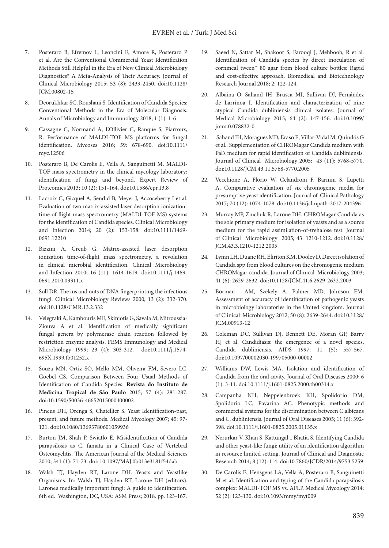- 7. Posteraro B, Efremov L, Leoncini E, Amore R, Posteraro P et al. Are the Conventional Commercial Yeast Identification Methods Still Helpful in the Era of New Clinical Microbiology Diagnostics? A Meta-Analysis of Their Accuracy. Journal of Clinical Microbiology 2015; 53 (8): 2439-2450. doi:10.1128/ JCM.00802-15
- 8. Deorukhkar SC, Roushani S. Identification of Candida Species: Conventional Methods in the Era of Molecular Diagnosis. Annals of Microbiology and Immunology 2018; 1 (1): 1-6
- 9. Cassagne C, Normand A, L'Ollivier C, Ranque S, Piarroux, R. Performance of MALDI‐TOF MS platforms for fungal identification. Mycoses 2016; 59: 678-690. doi:10.1111/ myc.12506
- 10. Posteraro B, De Carolis E, Vella A, Sanguinetti M. MALDI-TOF mass spectrometry in the clinical mycology laboratory: identification of fungi and beyond. Expert Review of Proteomics 2013; 10 (2): 151-164. doi:10.1586/epr.13.8
- 11. Lacroix C, Gicquel A, Sendid B, Meyer J, Accoceberry I et al. Evaluation of two matrix-assisted laser desorption ionizationtime of flight mass spectrometry (MALDI-TOF MS) systems for the identification of Candida species. Clinical Microbiology and Infection 2014; 20 (2): 153-158. doi:10.1111/1469- 0691.12210
- 12. Bizzini A, Greub G. Matrix-assisted laser desorption ionization time-of-flight mass spectrometry, a revolution in clinical microbial identification. Clinical Microbiology and Infection 2010; 16 (11): 1614-1619. doi:10.1111/j.1469- 0691.2010.03311.x
- 13. Soll DR. The ins and outs of DNA fingerprinting the infectious fungi. Clinical Microbiology Reviews 2000; 13 (2): 332-370. doi:10.1128/CMR.13.2.332
- 14. Velegraki A, Kambouris ME, Skiniotis G, Savala M, Mitroussia-Ziouva A et al. Identification of medically significant fungal genera by polymerase chain reaction followed by restriction enzyme analysis. FEMS Immunology and Medical Microbiology 1999; 23 (4): 303-312. doi:10.1111/j.1574- 695X.1999.tb01252.x
- 15. Souza MN, Ortiz SO, Mello MM, Oliveira FM, Severo LC, Goebel CS. Comparison Between Four Usual Methods of Identification of Candida Species. **Revista do Instituto de Medicina Tropical de São Paulo** 2015; 57 (4): 281-287. doi:10.1590/S0036-46652015000400002
- 16. Pincus DH, Orenga S, Chatellier S. Yeast Identification-past, present, and future methods. Medical Mycology 2007; 45: 97- 121. doi:10.1080/13693780601059936
- 17. Burton JM, Shah P, Swiatlo E. Misidentification of Candida parapsilosis as C. famata in a Clinical Case of Vertebral Osteomyelitis. The American Journal of the Medical Sciences 2010; 341 (1): 71-73. doi: 10.1097/MAJ.0b013e3181f54dab
- 18. Walsh TJ, Hayden RT, Larone DH. Yeasts and Yeastlike Organisms. In: Walsh TJ, Hayden RT, Larone DH (editors). Larone's medically important fungi: A guide to identification. 6th ed. Washington, DC, USA: ASM Press; 2018. pp. 123-167.
- 19. Saeed N, Sattar M, Shakoor S, Farooqi J, Mehboob, R et al. Identification of Candida species by direct inoculation of cornmeal tween™ 80 agar from blood culture bottles: Rapid and cost-effective approach. Biomedical and Biotechnology Research Journal 2018; 2: 122-124.
- 20. Albaina O, Sahand IH, Brusca MI, Sullivan DJ, Fernández de Larrinoa I. Identification and characterization of nine atypical Candida dubliniensis clinical isolates. Journal of Medical Microbiology 2015; 64 (2): 147-156. doi:10.1099/ jmm.0.078832-0
- 21. Sahand IH, Moragues MD, Eraso E, Villar-Vidal M, Quindós G et al.. Supplementation of CHROMagar Candida medium with Pal's medium for rapid identification of Candida dubliniensis*.*  Journal of Clinical Microbiology 2005; 43 (11): 5768-5770. doi:10.1128/JCM.43.11.5768-5770.2005
- 22. Vecchione A, Florio W, Celandroni F, Barnini S, Lupetti A. Comparative evaluation of six chromogenic media for presumptive yeast identification. Journal of Clinical Pathology 2017; 70 (12): 1074-1078. doi:10.1136/jclinpath-2017-204396
- 23. Murray MP, Zinchuk R, Larone DH. CHROMagar Candida as the sole primary medium for isolation of yeasts and as a source medium for the rapid assimilation-of-trehalose test. Journal of Clinical Microbiology 2005; 43: 1210-1212. doi:10.1128/ JCM.43.3.1210-1212.2005
- 24. Lymn LH, Duane RH, Eliriton KM, Dooley D. Direct isolation of Candida spp from blood cultures on the chromogenic medium CHROMagar candida. Journal of Clinical Microbiology 2003; 41 (6): 2629-2632. doi:10.1128/JCM.41.6.2629-2632.2003
- 25. Borman AM, Szekely A, Palmer MD, Johnson EM. Assessment of accuracy of identification of pathogenic yeasts in microbiology laboratories in the United kingdom. Journal of Clinical Microbiology 2012; 50 (8): 2639-2644. doi:10.1128/ JCM.00913-12
- 26. Coleman DC, Sullivan DJ, Bennett DE, Moran GP, Barry HJ et al. Candidiasis: the emergence of a novel species, Candida dubliniensis. AIDS 1997; 11 (5): 557-567. doi:10.1097/00002030-199705000-00002
- 27. Williams DW, Lewis MA. Isolation and identification of Candida from the oral cavity. Journal of Oral Diseases 2000; 6 (1): 3-11. doi:10.1111/j.1601-0825.2000.tb00314.x
- 28. Campanha NH, Neppelenbroek KH, Spolidorio DM, Spolidorio LC, Pavarina AC. Phenotypic methods and commercial systems for the discrimination between C.albicans and C. dubliniensis. Journal of Oral Diseases 2005; 11 (6): 392- 398. doi:10.1111/j.1601-0825.2005.01135.x
- 29. Nerurkar V, Khan S, Kattungal ., Bhatia S. Identifying Candida and other yeast-like fungi: utility of an identification algorithm in resource limited setting. Journal of Clinical and Diagnostic Research 2014; 8 (12): 1-4. doi:10.7860/JCDR/2014/9753.5259
- 30. De Carolis E, Hensgens LA, Vella A, Posteraro B, Sanguinetti M et al. Identification and typing of the Candida parapsilosis complex: MALDI-TOF MS vs. AFLP. Medical Mycology 2014; 52 (2): 123-130. doi:10.1093/mmy/myt009